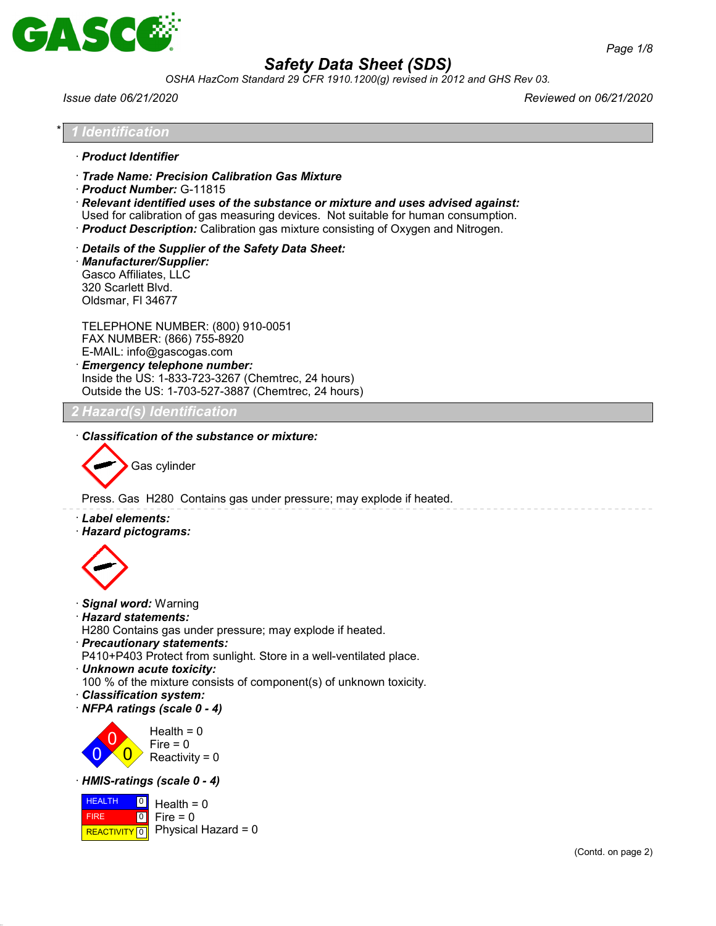

*OSHA HazCom Standard 29 CFR 1910.1200(g) revised in 2012 and GHS Rev 03.*

*Issue date 06/21/2020 Reviewed on 06/21/2020*

#### \* *1 Identification*

- · *Product Identifier*
- · *Trade Name: Precision Calibration Gas Mixture*
- · *Product Number:* G-11815

· *Relevant identified uses of the substance or mixture and uses advised against:*

Used for calibration of gas measuring devices. Not suitable for human consumption.

· *Product Description:* Calibration gas mixture consisting of Oxygen and Nitrogen.

· *Details of the Supplier of the Safety Data Sheet:*

· *Manufacturer/Supplier:* Gasco Affiliates, LLC 320 Scarlett Blvd. Oldsmar, Fl 34677

TELEPHONE NUMBER: (800) 910-0051 FAX NUMBER: (866) 755-8920 E-MAIL: info@gascogas.com · *Emergency telephone number:*

Inside the US: 1-833-723-3267 (Chemtrec, 24 hours) Outside the US: 1-703-527-3887 (Chemtrec, 24 hours)

## *2 Hazard(s) Identification*

· *Classification of the substance or mixture:*

Gas cylinder

Press. Gas H280 Contains gas under pressure; may explode if heated.

- · *Label elements:*
- · *Hazard pictograms:*



- · *Signal word:* Warning
- · *Hazard statements:*

H280 Contains gas under pressure; may explode if heated.

· *Precautionary statements:*

P410+P403 Protect from sunlight. Store in a well-ventilated place.

· *Unknown acute toxicity:*

100 % of the mixture consists of component(s) of unknown toxicity.

- · *Classification system:*
- · *NFPA ratings (scale 0 4)*



## · *HMIS-ratings (scale 0 - 4)*

**HEALTH**  FIRE  $R$ **REACTIVITY**  $\boxed{0}$  Physical Hazard = 0  $\boxed{0}$  $\boxed{0}$ Health  $= 0$ Fire  $= 0$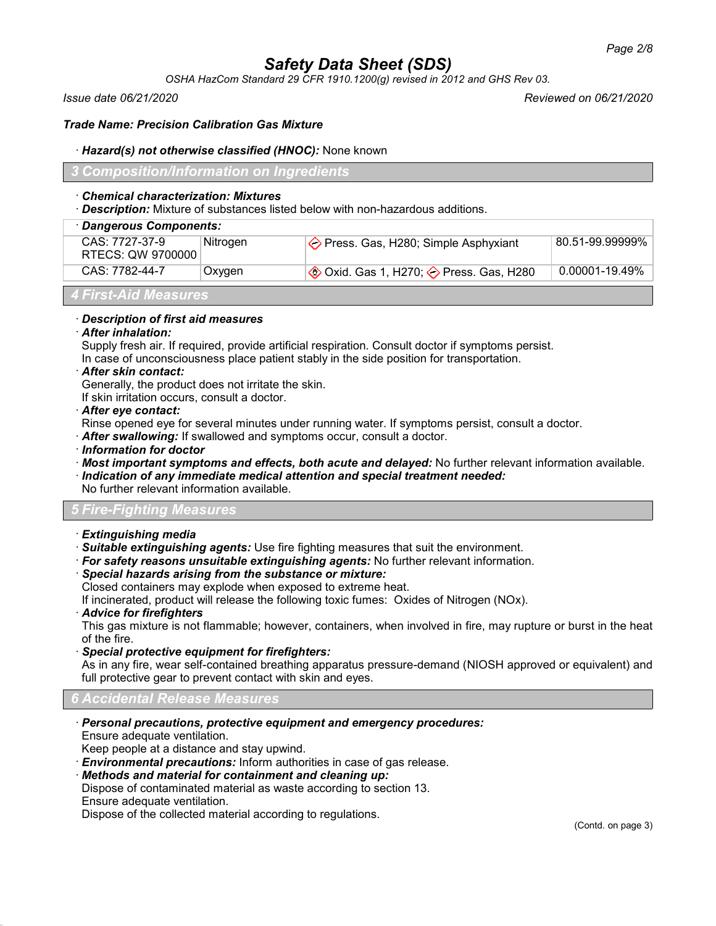*OSHA HazCom Standard 29 CFR 1910.1200(g) revised in 2012 and GHS Rev 03.*

*Issue date 06/21/2020 Reviewed on 06/21/2020*

#### *Trade Name: Precision Calibration Gas Mixture*

#### · *Hazard(s) not otherwise classified (HNOC):* None known

## *3 Composition/Information on Ingredients*

#### · *Chemical characterization: Mixtures*

· *Description:* Mixture of substances listed below with non-hazardous additions.

|  | · Dangerous Components:             |          |                                                           |                 |  |
|--|-------------------------------------|----------|-----------------------------------------------------------|-----------------|--|
|  | CAS: 7727-37-9<br>RTECS: QW 9700000 | Nitrogen | $\Diamond$ Press. Gas, H280; Simple Asphyxiant            | 80.51-99.99999% |  |
|  | CAS: 7782-44-7                      | Oxygen   | $\Diamond$ Oxid. Gas 1, H270; $\Diamond$ Press. Gas, H280 | 0.00001-19.49%  |  |
|  |                                     |          |                                                           |                 |  |

## *4 First-Aid Measures*

#### · *Description of first aid measures*

#### · *After inhalation:*

Supply fresh air. If required, provide artificial respiration. Consult doctor if symptoms persist. In case of unconsciousness place patient stably in the side position for transportation.

#### · *After skin contact:*

Generally, the product does not irritate the skin.

If skin irritation occurs, consult a doctor.

#### · *After eye contact:*

Rinse opened eye for several minutes under running water. If symptoms persist, consult a doctor.

· *After swallowing:* If swallowed and symptoms occur, consult a doctor.

· *Information for doctor*

· *Most important symptoms and effects, both acute and delayed:* No further relevant information available.

## · *Indication of any immediate medical attention and special treatment needed:*

No further relevant information available.

## *5 Fire-Fighting Measures*

## · *Extinguishing media*

- · *Suitable extinguishing agents:* Use fire fighting measures that suit the environment.
- · *For safety reasons unsuitable extinguishing agents:* No further relevant information.

## · *Special hazards arising from the substance or mixture:*

Closed containers may explode when exposed to extreme heat.

If incinerated, product will release the following toxic fumes: Oxides of Nitrogen (NOx).

· *Advice for firefighters*

This gas mixture is not flammable; however, containers, when involved in fire, may rupture or burst in the heat of the fire.

· *Special protective equipment for firefighters:*

As in any fire, wear self-contained breathing apparatus pressure-demand (NIOSH approved or equivalent) and full protective gear to prevent contact with skin and eyes.

## *6 Accidental Release Measures*

· *Personal precautions, protective equipment and emergency procedures:*

Ensure adequate ventilation.

Keep people at a distance and stay upwind.

· *Environmental precautions:* Inform authorities in case of gas release.

· *Methods and material for containment and cleaning up:*

Dispose of contaminated material as waste according to section 13. Ensure adequate ventilation.

Dispose of the collected material according to regulations.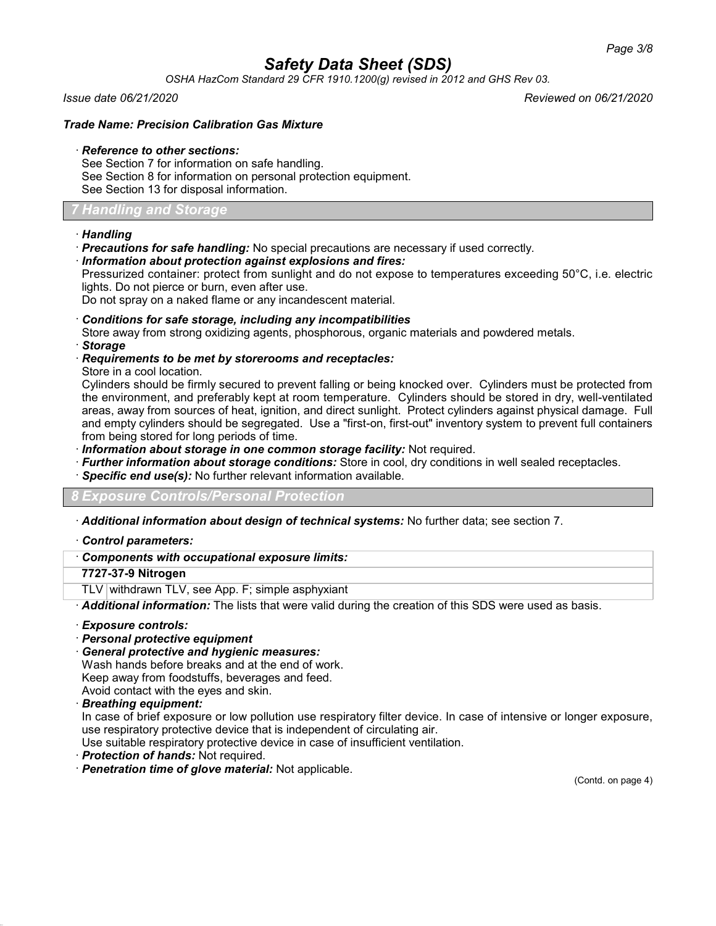*OSHA HazCom Standard 29 CFR 1910.1200(g) revised in 2012 and GHS Rev 03.*

*Issue date 06/21/2020 Reviewed on 06/21/2020*

## *Trade Name: Precision Calibration Gas Mixture*

#### · *Reference to other sections:*

See Section 7 for information on safe handling. See Section 8 for information on personal protection equipment. See Section 13 for disposal information.

## *7 Handling and Storage*

## · *Handling*

· *Precautions for safe handling:* No special precautions are necessary if used correctly.

## · *Information about protection against explosions and fires:*

Pressurized container: protect from sunlight and do not expose to temperatures exceeding 50°C, i.e. electric lights. Do not pierce or burn, even after use.

Do not spray on a naked flame or any incandescent material.

#### · *Conditions for safe storage, including any incompatibilities*

Store away from strong oxidizing agents, phosphorous, organic materials and powdered metals.

- · *Storage*
- · *Requirements to be met by storerooms and receptacles:*

Store in a cool location.

Cylinders should be firmly secured to prevent falling or being knocked over. Cylinders must be protected from the environment, and preferably kept at room temperature. Cylinders should be stored in dry, well-ventilated areas, away from sources of heat, ignition, and direct sunlight. Protect cylinders against physical damage. Full and empty cylinders should be segregated. Use a "first-on, first-out" inventory system to prevent full containers from being stored for long periods of time.

· *Information about storage in one common storage facility:* Not required.

- · *Further information about storage conditions:* Store in cool, dry conditions in well sealed receptacles.
- · *Specific end use(s):* No further relevant information available.

## *8 Exposure Controls/Personal Protection*

- · *Additional information about design of technical systems:* No further data; see section 7.
- · *Control parameters:*

## · *Components with occupational exposure limits:*

## **7727-37-9 Nitrogen**

TLV withdrawn TLV, see App. F; simple asphyxiant

· *Additional information:* The lists that were valid during the creation of this SDS were used as basis.

- · *Exposure controls:*
- · *Personal protective equipment*
- · *General protective and hygienic measures:*

Wash hands before breaks and at the end of work.

Keep away from foodstuffs, beverages and feed.

Avoid contact with the eyes and skin.

· *Breathing equipment:*

In case of brief exposure or low pollution use respiratory filter device. In case of intensive or longer exposure, use respiratory protective device that is independent of circulating air.

Use suitable respiratory protective device in case of insufficient ventilation.

- · *Protection of hands:* Not required.
- · *Penetration time of glove material:* Not applicable.

(Contd. on page 4)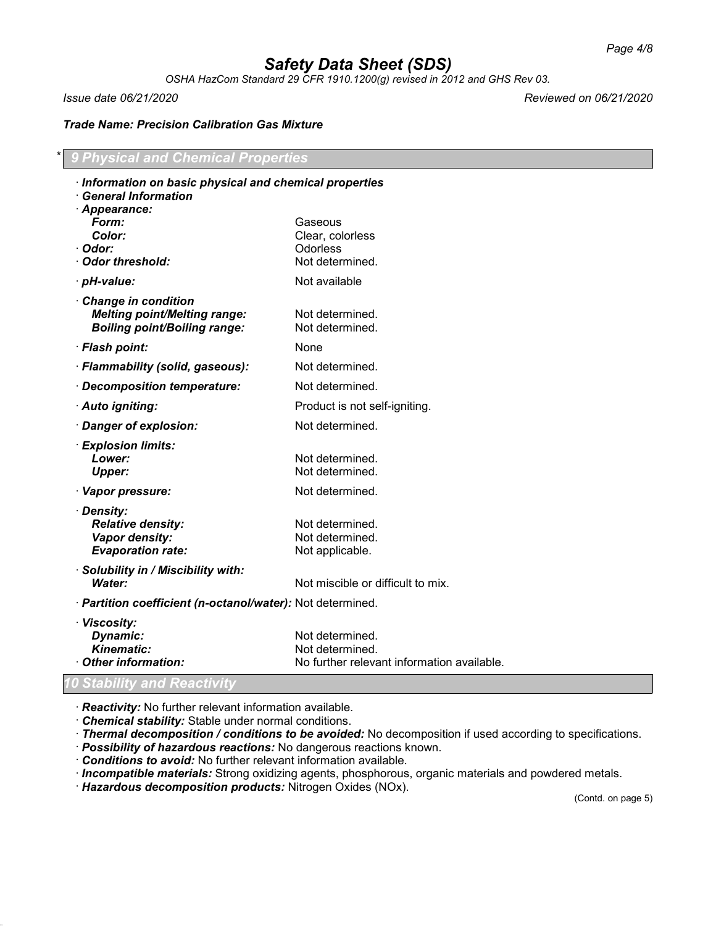*OSHA HazCom Standard 29 CFR 1910.1200(g) revised in 2012 and GHS Rev 03.*

*Issue date 06/21/2020 Reviewed on 06/21/2020*

## *Trade Name: Precision Calibration Gas Mixture*

## \* *9 Physical and Chemical Properties*

| Information on basic physical and chemical properties                        |                                            |  |
|------------------------------------------------------------------------------|--------------------------------------------|--|
| <b>General Information</b><br>· Appearance:                                  |                                            |  |
| Form:                                                                        | Gaseous                                    |  |
| Color:                                                                       | Clear, colorless                           |  |
| · Odor:                                                                      | Odorless                                   |  |
| Odor threshold:                                                              | Not determined.                            |  |
| · pH-value:                                                                  | Not available                              |  |
| Change in condition                                                          |                                            |  |
| <b>Melting point/Melting range:</b>                                          | Not determined.                            |  |
| <b>Boiling point/Boiling range:</b>                                          | Not determined.                            |  |
| · Flash point:                                                               | None                                       |  |
| · Flammability (solid, gaseous):                                             | Not determined.                            |  |
| · Decomposition temperature:                                                 | Not determined.                            |  |
| · Auto igniting:                                                             | Product is not self-igniting.              |  |
| · Danger of explosion:                                                       | Not determined.                            |  |
| · Explosion limits:                                                          |                                            |  |
| Lower:                                                                       | Not determined.                            |  |
| <b>Upper:</b>                                                                | Not determined.                            |  |
| · Vapor pressure:                                                            | Not determined.                            |  |
| · Density:                                                                   |                                            |  |
| <b>Relative density:</b>                                                     | Not determined.                            |  |
| Vapor density:                                                               | Not determined.                            |  |
| <b>Evaporation rate:</b>                                                     | Not applicable.                            |  |
| · Solubility in / Miscibility with:                                          |                                            |  |
| Water:                                                                       | Not miscible or difficult to mix.          |  |
| · Partition coefficient (n-octanol/water): Not determined.                   |                                            |  |
| · Viscosity:                                                                 |                                            |  |
| Dynamic:                                                                     | Not determined.                            |  |
|                                                                              | Not determined.                            |  |
|                                                                              |                                            |  |
| <b>Kinematic:</b><br>Other information:<br><b>0 Stability and Reactivity</b> | No further relevant information available. |  |

· *Reactivity:* No further relevant information available.

· *Chemical stability:* Stable under normal conditions.

· *Thermal decomposition / conditions to be avoided:* No decomposition if used according to specifications.

- · *Possibility of hazardous reactions:* No dangerous reactions known.
- · *Conditions to avoid:* No further relevant information available.
- · *Incompatible materials:* Strong oxidizing agents, phosphorous, organic materials and powdered metals.

· *Hazardous decomposition products:* Nitrogen Oxides (NOx).

(Contd. on page 5)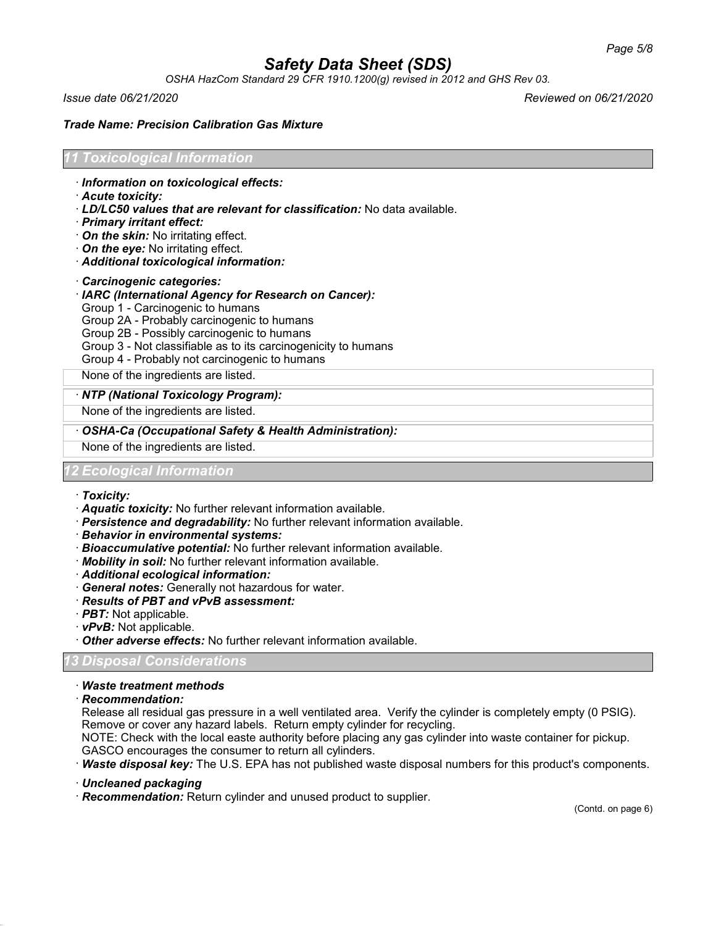*OSHA HazCom Standard 29 CFR 1910.1200(g) revised in 2012 and GHS Rev 03.*

*Issue date 06/21/2020 Reviewed on 06/21/2020*

#### *Trade Name: Precision Calibration Gas Mixture*

## *11 Toxicological Information*

- · *Information on toxicological effects:*
- · *Acute toxicity:*
- · *LD/LC50 values that are relevant for classification:* No data available.
- · *Primary irritant effect:*
- · *On the skin:* No irritating effect.
- · *On the eye:* No irritating effect.
- · *Additional toxicological information:*
- · *Carcinogenic categories:*
- · *IARC (International Agency for Research on Cancer):*
- Group 1 Carcinogenic to humans
- Group 2A Probably carcinogenic to humans
- Group 2B Possibly carcinogenic to humans
- Group 3 Not classifiable as to its carcinogenicity to humans
- Group 4 Probably not carcinogenic to humans

None of the ingredients are listed.

#### · *NTP (National Toxicology Program):*

None of the ingredients are listed.

· *OSHA-Ca (Occupational Safety & Health Administration):*

None of the ingredients are listed.

## *12 Ecological Information*

#### · *Toxicity:*

- · *Aquatic toxicity:* No further relevant information available.
- · *Persistence and degradability:* No further relevant information available.
- · *Behavior in environmental systems:*
- · *Bioaccumulative potential:* No further relevant information available.
- · *Mobility in soil:* No further relevant information available.
- · *Additional ecological information:*
- · *General notes:* Generally not hazardous for water.
- · *Results of PBT and vPvB assessment:*
- · *PBT:* Not applicable.
- · *vPvB:* Not applicable.
- · *Other adverse effects:* No further relevant information available.

## *13 Disposal Considerations*

- · *Waste treatment methods*
- · *Recommendation:*

Release all residual gas pressure in a well ventilated area. Verify the cylinder is completely empty (0 PSIG). Remove or cover any hazard labels. Return empty cylinder for recycling.

NOTE: Check with the local easte authority before placing any gas cylinder into waste container for pickup. GASCO encourages the consumer to return all cylinders.

· *Waste disposal key:* The U.S. EPA has not published waste disposal numbers for this product's components.

- · *Uncleaned packaging*
- · *Recommendation:* Return cylinder and unused product to supplier.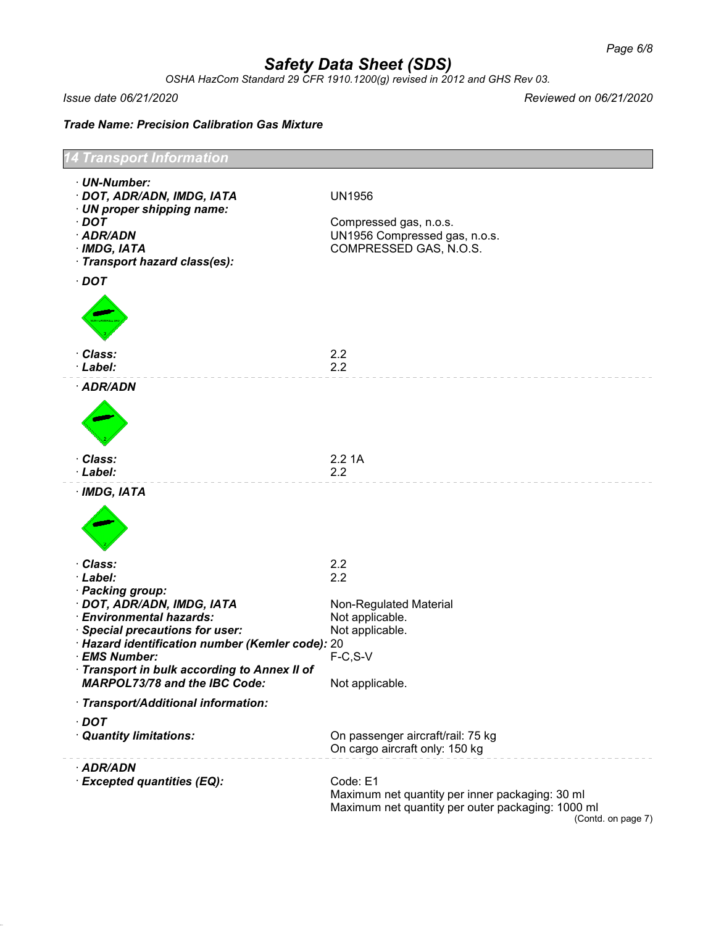*OSHA HazCom Standard 29 CFR 1910.1200(g) revised in 2012 and GHS Rev 03.*

*Issue date 06/21/2020 Reviewed on 06/21/2020*

*Trade Name: Precision Calibration Gas Mixture*

| 4 Transport Information                                                                                                                                                                                                                                                                          |                                                                                                                  |  |  |
|--------------------------------------------------------------------------------------------------------------------------------------------------------------------------------------------------------------------------------------------------------------------------------------------------|------------------------------------------------------------------------------------------------------------------|--|--|
| · UN-Number:<br>· DOT, ADR/ADN, IMDG, IATA<br>· UN proper shipping name:<br>$\cdot$ DOT<br>· ADR/ADN<br>$·$ IMDG, IATA<br>· Transport hazard class(es):<br>$\cdot$ DOT                                                                                                                           | <b>UN1956</b><br>Compressed gas, n.o.s.<br>UN1956 Compressed gas, n.o.s.<br>COMPRESSED GAS, N.O.S.               |  |  |
| · Class:<br>· Label:                                                                                                                                                                                                                                                                             | 2.2<br>2.2                                                                                                       |  |  |
| · ADR/ADN                                                                                                                                                                                                                                                                                        |                                                                                                                  |  |  |
| · Class:<br>· Label:                                                                                                                                                                                                                                                                             | 2.21A<br>2.2                                                                                                     |  |  |
| · IMDG, IATA                                                                                                                                                                                                                                                                                     |                                                                                                                  |  |  |
| · Class:<br>· Label:<br>· Packing group:<br>· DOT, ADR/ADN, IMDG, IATA<br>· Environmental hazards:<br>· Special precautions for user:<br>· Hazard identification number (Kemler code): 20<br>· EMS Number:<br>Transport in bulk according to Annex II of<br><b>MARPOL73/78 and the IBC Code:</b> | 2.2<br>2.2<br>Non-Regulated Material<br>Not applicable.<br>Not applicable.<br>$F-C, S-V$<br>Not applicable.      |  |  |
| · Transport/Additional information:                                                                                                                                                                                                                                                              |                                                                                                                  |  |  |
| $\cdot$ DOT<br>· Quantity limitations:                                                                                                                                                                                                                                                           | On passenger aircraft/rail: 75 kg<br>On cargo aircraft only: 150 kg                                              |  |  |
| · ADR/ADN<br>· Excepted quantities (EQ):                                                                                                                                                                                                                                                         | Code: E1<br>Maximum net quantity per inner packaging: 30 ml<br>Maximum net quantity per outer packaging: 1000 ml |  |  |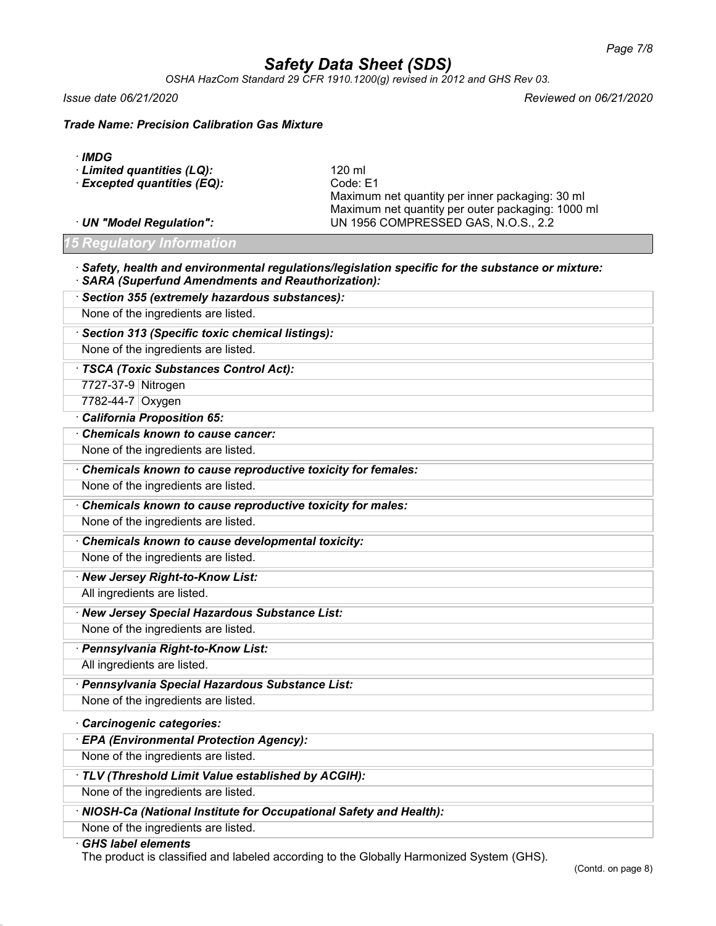*OSHA HazCom Standard 29 CFR 1910.1200(g) revised in 2012 and GHS Rev 03.*

*Issue date 06/21/2020 Reviewed on 06/21/2020*

*Trade Name: Precision Calibration Gas Mixture*

|  | ۰.<br>×<br>v |
|--|--------------|
|--|--------------|

| $\cdot$ Limited quantities (LQ): | 120 ml                                            |
|----------------------------------|---------------------------------------------------|
| · Excepted quantities (EQ):      | Code: E1                                          |
|                                  | Maximum net quantity per inner packaging: 30 ml   |
|                                  | Maximum net quantity per outer packaging: 1000 ml |
| · UN "Model Regulation":         | UN 1956 COMPRESSED GAS, N.O.S., 2.2               |
|                                  |                                                   |

*15 Regulatory Information*

#### · *Safety, health and environmental regulations/legislation specific for the substance or mixture:* · *SARA (Superfund Amendments and Reauthorization):*

· *Section 355 (extremely hazardous substances):* None of the ingredients are listed. · *Section 313 (Specific toxic chemical listings):* None of the ingredients are listed.

· *TSCA (Toxic Substances Control Act):*

7727-37-9 Nitrogen

7782-44-7 Oxygen

· *California Proposition 65:*

· *Chemicals known to cause cancer:*

None of the ingredients are listed.

· *Chemicals known to cause reproductive toxicity for females:*

None of the ingredients are listed.

· *Chemicals known to cause reproductive toxicity for males:*

None of the ingredients are listed.

· *Chemicals known to cause developmental toxicity:*

None of the ingredients are listed.

· *New Jersey Right-to-Know List:*

All ingredients are listed.

· *New Jersey Special Hazardous Substance List:*

None of the ingredients are listed.

· *Pennsylvania Right-to-Know List:*

All ingredients are listed.

· *Pennsylvania Special Hazardous Substance List:*

None of the ingredients are listed.

## · *Carcinogenic categories:*

· *EPA (Environmental Protection Agency):*

None of the ingredients are listed.

· *TLV (Threshold Limit Value established by ACGIH):*

None of the ingredients are listed.

· *NIOSH-Ca (National Institute for Occupational Safety and Health):*

None of the ingredients are listed.

· *GHS label elements*

The product is classified and labeled according to the Globally Harmonized System (GHS).